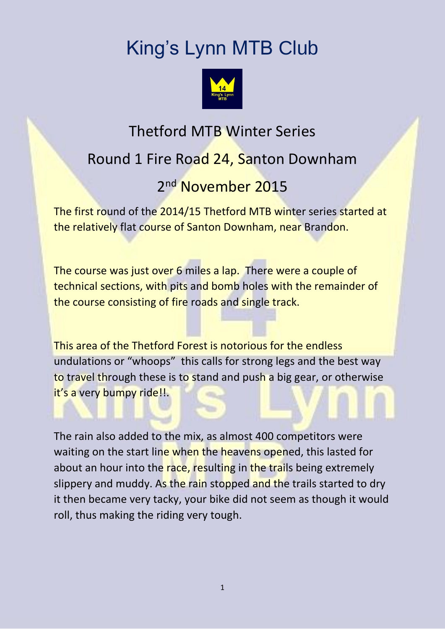## King's Lynn MTB Club



## Thetford MTB Winter Series Round 1 Fire Road 24, Santon Downham 2<sup>nd</sup> November 2015

The first round of the 2014/15 Thetford MTB winter series started at the relatively flat course of Santon Downham, near Brandon.

The course was just over 6 miles a lap. There were a couple of technical sections, with pits and bomb holes with the remainder of the course consisting of fire roads and single track.

This area of the Thetford Forest is notorious for the endless undulations or "whoops" this calls for strong legs and the best way to travel through these is to stand and push a big gear, or otherwise it's a very bumpy ride!!.

The rain also added to the mix, as almost 400 competitors were waiting on the start line when the heavens opened, this lasted for about an hour into the race, resulting in the trails being extremely slippery and muddy. As the rain stopped and the trails started to dry it then became very tacky, your bike did not seem as though it would roll, thus making the riding very tough.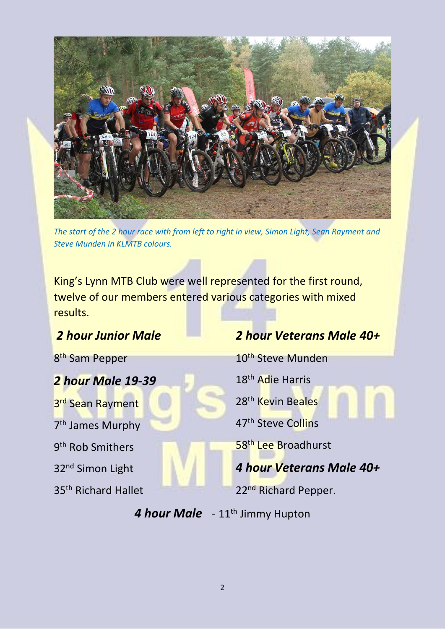

*The start of the 2 hour race with from left to right in view, Simon Light, Sean Rayment and Steve Munden in KLMTB colours.*

King's Lynn MTB Club were well represented for the first round, twelve of our members entered various categories with mixed results.

## *2 hour Junior Male*

8<sup>th</sup> Sam Pepper

*2 hour Male 19-39* 3<sup>rd</sup> Sean Rayment 7<sup>th</sup> James Murphy 9<sup>th</sup> Rob Smithers 32nd Simon Light 35th Richard Hallet

## *2 hour Veterans Male 40+*

10<sup>th</sup> Steve Munden

18th Adie Harris

28<sup>th</sup> Kevin Beales

47th Steve Collins

58<sup>th</sup> Lee Broadhurst

*4 hour Veterans Male 40+*

22<sup>nd</sup> Richard Pepper.

4 hour Male - 11<sup>th</sup> Jimmy Hupton